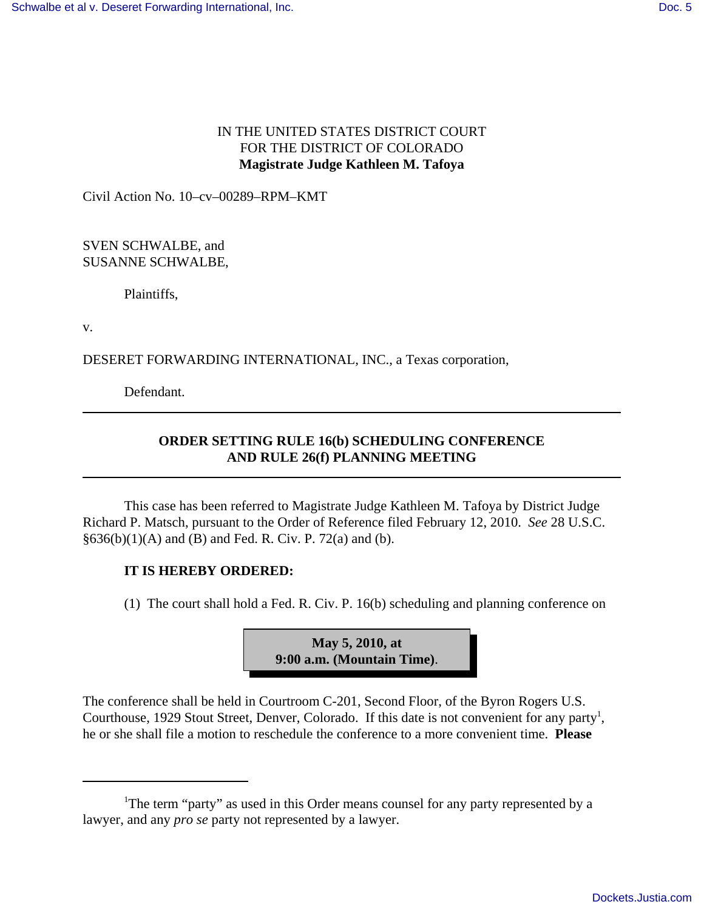## IN THE UNITED STATES DISTRICT COURT FOR THE DISTRICT OF COLORADO **Magistrate Judge Kathleen M. Tafoya**

Civil Action No. 10–cv–00289–RPM–KMT

SVEN SCHWALBE, and SUSANNE SCHWALBE,

Plaintiffs,

v.

DESERET FORWARDING INTERNATIONAL, INC., a Texas corporation,

Defendant.

## **ORDER SETTING RULE 16(b) SCHEDULING CONFERENCE AND RULE 26(f) PLANNING MEETING**

This case has been referred to Magistrate Judge Kathleen M. Tafoya by District Judge Richard P. Matsch, pursuant to the Order of Reference filed February 12, 2010. *See* 28 U.S.C.  $§636(b)(1)(A)$  and (B) and Fed. R. Civ. P. 72(a) and (b).

## **IT IS HEREBY ORDERED:**

(1) The court shall hold a Fed. R. Civ. P. 16(b) scheduling and planning conference on



The conference shall be held in Courtroom C-201, Second Floor, of the Byron Rogers U.S. Courthouse, 1929 Stout Street, Denver, Colorado. If this date is not convenient for any party<sup>1</sup>, he or she shall file a motion to reschedule the conference to a more convenient time. **Please**

<sup>&</sup>lt;sup>1</sup>The term "party" as used in this Order means counsel for any party represented by a lawyer, and any *pro se* party not represented by a lawyer.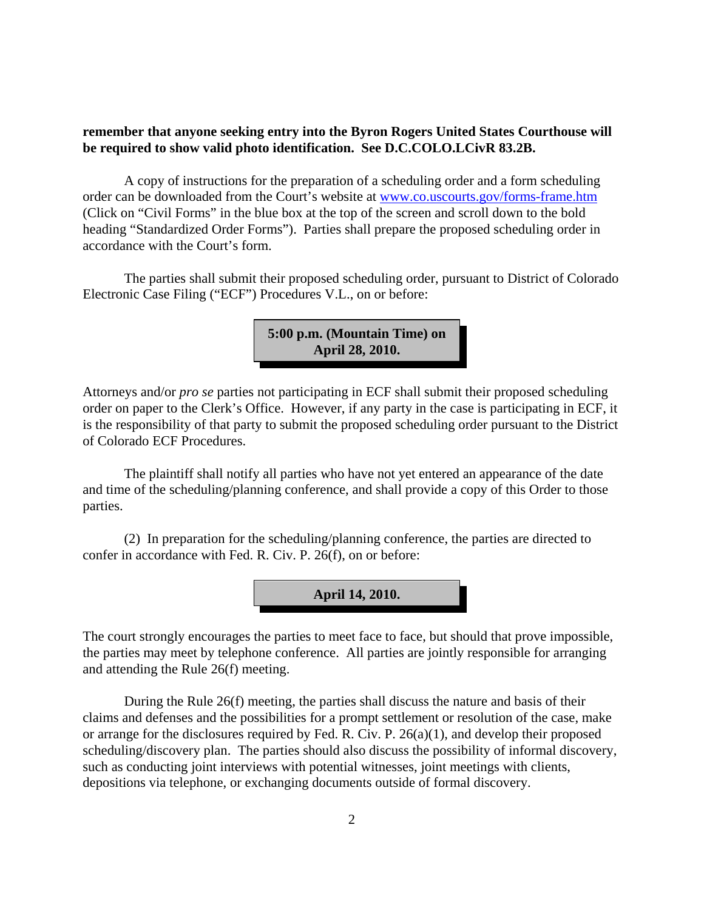## **remember that anyone seeking entry into the Byron Rogers United States Courthouse will be required to show valid photo identification. See D.C.COLO.LCivR 83.2B.**

A copy of instructions for the preparation of a scheduling order and a form scheduling order can be downloaded from the Court's website at www.co.uscourts.gov/forms-frame.htm (Click on "Civil Forms" in the blue box at the top of the screen and scroll down to the bold heading "Standardized Order Forms"). Parties shall prepare the proposed scheduling order in accordance with the Court's form.

The parties shall submit their proposed scheduling order, pursuant to District of Colorado Electronic Case Filing ("ECF") Procedures V.L., on or before:

> **5:00 p.m. (Mountain Time) on April 28, 2010.**

Attorneys and/or *pro se* parties not participating in ECF shall submit their proposed scheduling order on paper to the Clerk's Office. However, if any party in the case is participating in ECF, it is the responsibility of that party to submit the proposed scheduling order pursuant to the District of Colorado ECF Procedures.

The plaintiff shall notify all parties who have not yet entered an appearance of the date and time of the scheduling/planning conference, and shall provide a copy of this Order to those parties.

(2) In preparation for the scheduling/planning conference, the parties are directed to confer in accordance with Fed. R. Civ. P. 26(f), on or before:



The court strongly encourages the parties to meet face to face, but should that prove impossible, the parties may meet by telephone conference. All parties are jointly responsible for arranging and attending the Rule 26(f) meeting.

During the Rule 26(f) meeting, the parties shall discuss the nature and basis of their claims and defenses and the possibilities for a prompt settlement or resolution of the case, make or arrange for the disclosures required by Fed. R. Civ. P. 26(a)(1), and develop their proposed scheduling/discovery plan. The parties should also discuss the possibility of informal discovery, such as conducting joint interviews with potential witnesses, joint meetings with clients, depositions via telephone, or exchanging documents outside of formal discovery.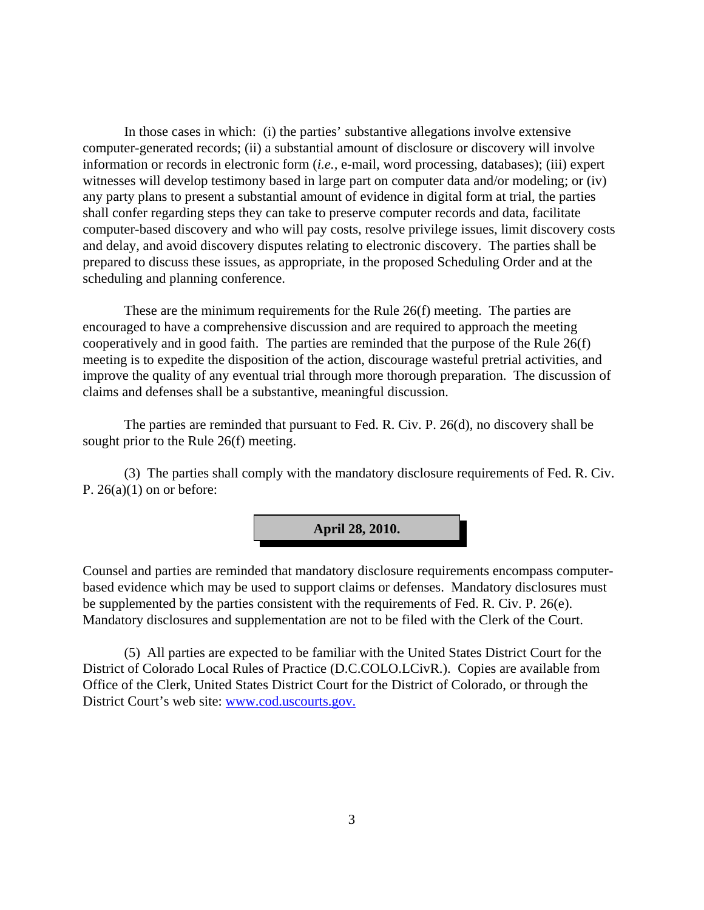In those cases in which: (i) the parties' substantive allegations involve extensive computer-generated records; (ii) a substantial amount of disclosure or discovery will involve information or records in electronic form (*i.e.,* e-mail, word processing, databases); (iii) expert witnesses will develop testimony based in large part on computer data and/or modeling; or (iv) any party plans to present a substantial amount of evidence in digital form at trial, the parties shall confer regarding steps they can take to preserve computer records and data, facilitate computer-based discovery and who will pay costs, resolve privilege issues, limit discovery costs and delay, and avoid discovery disputes relating to electronic discovery. The parties shall be prepared to discuss these issues, as appropriate, in the proposed Scheduling Order and at the scheduling and planning conference.

These are the minimum requirements for the Rule 26(f) meeting. The parties are encouraged to have a comprehensive discussion and are required to approach the meeting cooperatively and in good faith. The parties are reminded that the purpose of the Rule 26(f) meeting is to expedite the disposition of the action, discourage wasteful pretrial activities, and improve the quality of any eventual trial through more thorough preparation. The discussion of claims and defenses shall be a substantive, meaningful discussion.

The parties are reminded that pursuant to Fed. R. Civ. P. 26(d), no discovery shall be sought prior to the Rule 26(f) meeting.

(3) The parties shall comply with the mandatory disclosure requirements of Fed. R. Civ. P.  $26(a)(1)$  on or before:

**April 28, 2010.**

Counsel and parties are reminded that mandatory disclosure requirements encompass computerbased evidence which may be used to support claims or defenses. Mandatory disclosures must be supplemented by the parties consistent with the requirements of Fed. R. Civ. P. 26(e). Mandatory disclosures and supplementation are not to be filed with the Clerk of the Court.

(5) All parties are expected to be familiar with the United States District Court for the District of Colorado Local Rules of Practice (D.C.COLO.LCivR.). Copies are available from Office of the Clerk, United States District Court for the District of Colorado, or through the District Court's web site: www.cod.uscourts.gov.